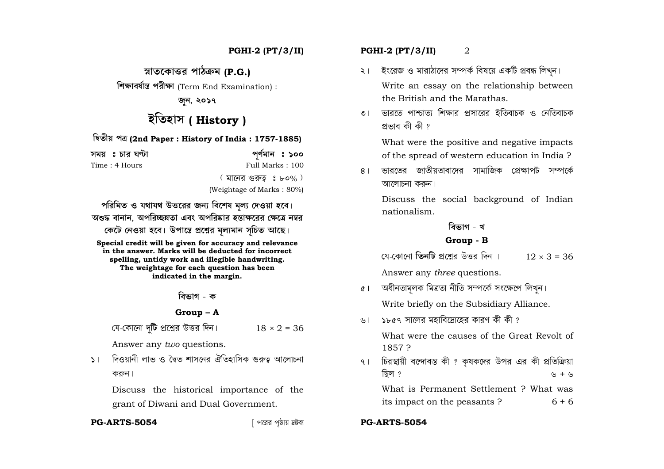**ÿoˆÁTˆ"EıÁw¯Ã[˝ YÁPˆy'] (P.G.)**

**◊`l˘Á[˝bÔÁ‹ôˆ YÃ[˝›l˘Á** (Term End Examination) :

জন, ২**০১**৭

# ইতিহাস ( **History** )

#### **◊•Tˆ›Ã^ Yy (2nd Paper : History of India : 1757-1885)**

**a]Ã^ f ªJÙÁÃ[˝ H∞RÙOÁ Y…SÔ]ÁX f 100**  Time : 4 Hours Full Marks : 100  $($  মানের গুরুত  $\mathfrak{g}$  ৮০% )

(Weightage of Marks : 80%)

পরিমিত ও যথাযথ উত্তরের জন্য বিশেষ মল্য দেওয়া হবে।  $\,$  অশুদ্ধ বানান, অপরিচ্ছন্নতা এবং অপরিষ্কার হস্তাক্ষরের ক্ষেত্রে নম্বর কেটে নেওয়া হবে। উপান্তে প্রশ্নের মল্যমান সচিত আছে।

**Special credit will be given for accuracy and relevance in the answer. Marks will be deducted for incorrect spelling, untidy work and illegible handwriting. The weightage for each question has been indicated in the margin.**

<u>বিভাগ - ক</u>

#### **Group – A**

বে-কোনো **দটি** প্রশ্নের উত্তর দিন।  $18 \times 2 = 36$ 

Answer any *two* questions.

১। দিওয়ানী লাভ ও দ্বৈত শাসনের ঐতিহাসিক গুরুত্ব আলোচনা করুন।

Discuss the historical importance of the grant of Diwani and Dual Government.

#### **PG-ARTS-5054**

## **PGHI-2 (PT/3/II) PGHI-2 (PT/3/II)** 2

- ২। ইংরেজ ও মারাঠাদের সম্পর্ক বিষয়ে একটি প্রবন্ধ লিখন। Write an essay on the relationship between the British and the Marathas.
- ৩ । ভাবতে পাশ্চাত্য শিক্ষাব প্ৰসাবেব ইতিবাচক ও নেতিবাচক প্ৰভাব কী কী ?

What were the positive and negative impacts of the spread of western education in India ?

৪। ভারতের জাতীয়তাবাদের সামাজিক প্রেক্ষাপট সম্পর্কে আলোচনা ককন।

Discuss the social background of Indian nationalism.

### **বিভাগ - খ**

### **Group - B**

মে-কোনো **তিনটি** প্রশ্রের উত্তর দিন ।  $12 \times 3 = 36$ 

Answer any *three* questions.

- ৫। অধীনতামলক মিত্ৰতা নীতি সম্পৰ্কে সংক্ষেপে লিখন। Write briefly on the Subsidiary Alliance.
- ৬।  $\,$ ১৮৫৭ সালের মহাবিদ্রোহের কারণ কী কী ?

What were the causes of the Great Revolt of 1857 ?

৭। চিরস্থায়ী বন্দোবস্ত কী? কৃষকদের উপর এর কী প্রতিক্রিয়া ছিল ?  $\uparrow$   $\downarrow$  +  $\downarrow$ What is Permanent Settlement ? What was its impact on the peasants ?  $6 + 6$ 

#### [ Y"Ã[˝Ã[˝ Y úˆÁÃ^ V–rÙ[˝Ó **PG-ARTS-5054**